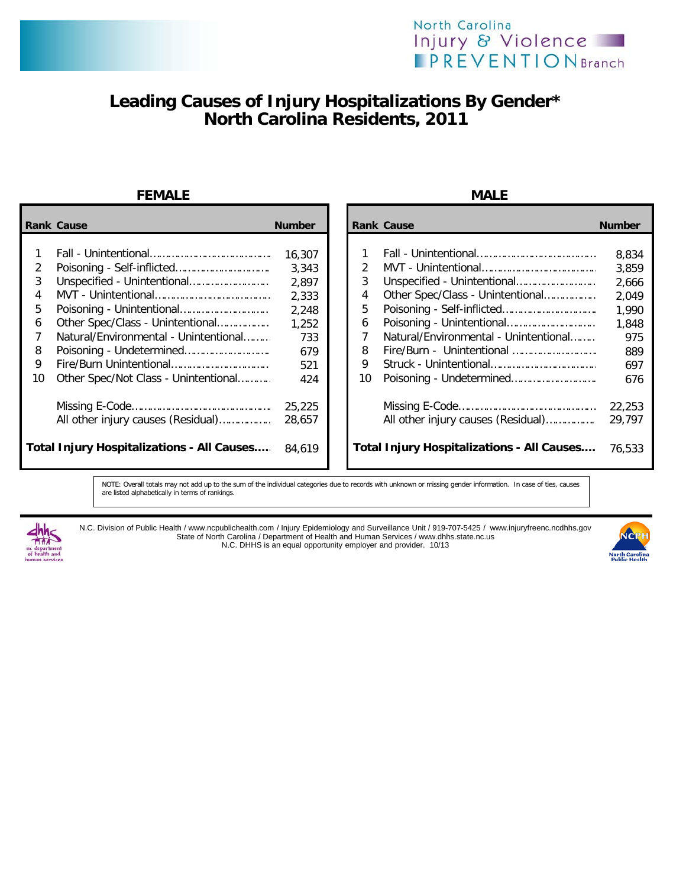



## **Leading Causes of Injury Hospitalizations By Gender\* North Carolina Residents, 2011**

### **FEMALE MALE**

|        | <b>Rank Cause</b>                                 | <b>Number</b>            |    | <b>Rank Cause</b>                                 | <b>Number</b>           |
|--------|---------------------------------------------------|--------------------------|----|---------------------------------------------------|-------------------------|
| 2<br>3 |                                                   | 16,307<br>3,343<br>2,897 | 3  |                                                   | 8,834<br>3,859<br>2,666 |
| 4      |                                                   | 2,333                    | 4  | Other Spec/Class - Unintentional                  | 2,049                   |
| 5.     |                                                   | 2,248                    | 5  |                                                   | 1,990                   |
| 6      | Other Spec/Class - Unintentional                  | 1,252                    | 6  |                                                   | 1,848                   |
|        | Natural/Environmental - Unintentional             | 733                      |    | Natural/Environmental - Unintentional             | 975                     |
| 8      |                                                   | 679                      | 8  | Fire/Burn - Unintentional                         | 889                     |
| 9      |                                                   | 521                      | 9  |                                                   | 697                     |
| 10     | Other Spec/Not Class - Unintentional              | 424                      | 10 |                                                   | 676                     |
|        | All other injury causes (Residual)                | 25,225<br>28,657         |    | All other injury causes (Residual)                | 22,253<br>29,797        |
|        | <b>Total Injury Hospitalizations - All Causes</b> | 84.619                   |    | <b>Total Injury Hospitalizations - All Causes</b> | 76,533                  |

 Fall - Unintentional…………………………………… 16,307 1 Fall - Unintentional…………………………………… 8,834 Poisoning - Self-inflicted…………………………… 3,343 2 MVT - Unintentional………………………………… 3,859 Unspecified - Unintentional……………………… 2,897 3 Unspecified - Unintentional……………………… 2,666 4 Other Spec/Class - Unintentional……………………… 2,049<br>5 Poisoning - Self-inflicted………………………… 1,990 Poisoning - Unintentional………………………… 2,248 5 Poisoning - Self-inflicted…………………………… 1,990 Other Spec/Class - Unintentional……………… 1,252 6 Poisoning - Unintentional………………………… 1,848 7 Natural/Environmental - Unintentional………<br>8 Tire/Burn - Unintentional Poisoning - Undetermined………………………… 679 8 Fire/Burn - Unintentional ………………………. 889 Fire/Burn Unintentional…………………………… 521 9 Struck - Unintentional……………………………… 697 Other Spec/Not Class - Unintentional………… 424 10 Poisoning - Undetermined………………………… 676 Missing E-Code………………………………………… 25,225 Missing E-Code………………………………………… 22,253 All other injury causes (Residual)………………  **Total Injury Hospitalizations - All Causes....** 76,533

NOTE: Overall totals may not add up to the sum of the individual categories due to records with unknown or missing gender information. In case of ties, causes are listed alphabetically in terms of rankings.



N.C. Division of Public Health / www.ncpublichealth.com / Injury Epidemiology and Surveillance Unit / 919-707-5425 / www.injuryfreenc.ncdhhs.gov State of North Carolina / Department of Health and Human Services / www.dhhs.state.nc.us N.C. DHHS is an equal opportunity employer and provider. 10/13

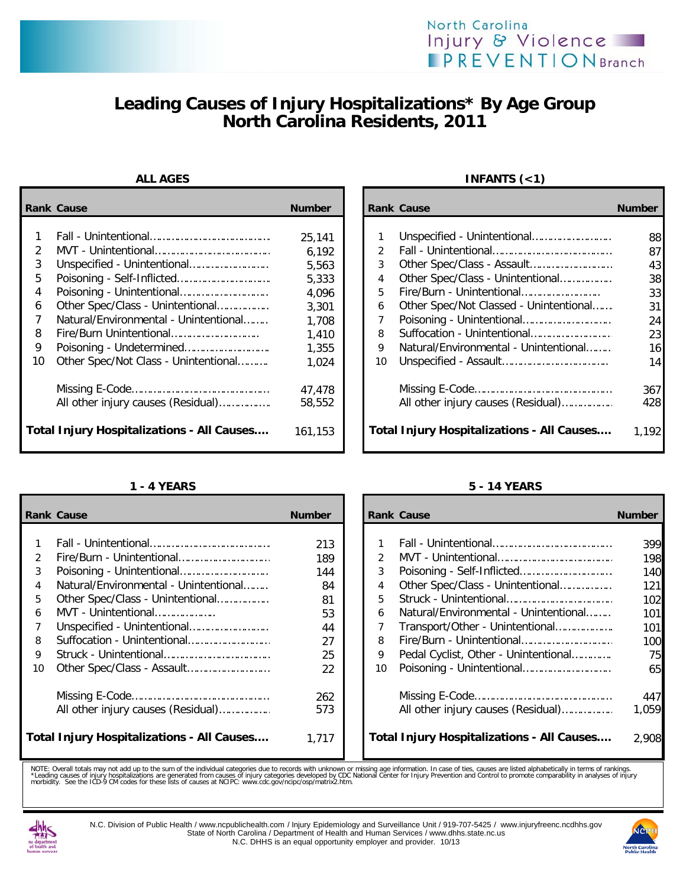## North Carolina Injury & Violence **IPREVENTION** Branch

# **Leading Causes of Injury Hospitalizations\* By Age Group North Carolina Residents, 2011**

|                            | <b>Rank Cause</b>                                                         | <b>Number</b>                                                |                                        | <b>Rank Cause</b>                                                                                       | <b>Number</b>                                |
|----------------------------|---------------------------------------------------------------------------|--------------------------------------------------------------|----------------------------------------|---------------------------------------------------------------------------------------------------------|----------------------------------------------|
| 2<br>3<br>5<br>4<br>6<br>8 | Other Spec/Class - Unintentional<br>Natural/Environmental - Unintentional | 25,141<br>6,192<br>5,563<br>5,333<br>4,096<br>3,301<br>1,708 | $\mathcal{P}$<br>3<br>4<br>5<br>6<br>8 | Other Spec/Class - Unintentional<br>Fire/Burn - Unintentional<br>Other Spec/Not Classed - Unintentional | 88<br>87<br>43<br>38<br>33<br>31<br>24<br>23 |
| 9<br>10                    | Other Spec/Not Class - Unintentional                                      | 1,410<br>1,355<br>1,024                                      | 9<br>10                                | Natural/Environmental - Unintentional                                                                   | 16<br>14                                     |
|                            | All other injury causes (Residual)                                        | 47,478<br>58,552                                             |                                        | All other injury causes (Residual)                                                                      | 367<br>428                                   |
|                            | <b>Total Injury Hospitalizations - All Causes</b>                         | 161,153                                                      |                                        | <b>Total Injury Hospitalizations - All Causes</b>                                                       | 1.192                                        |

### **ALL AGES INFANTS (<1)**

| Cause                                       | <b>Number</b> |               | <b>Rank Cause</b>                                 | <b>Number</b> |
|---------------------------------------------|---------------|---------------|---------------------------------------------------|---------------|
|                                             |               |               |                                                   |               |
|                                             | 25,141        |               |                                                   | 88            |
|                                             | 6,192         | $\mathcal{L}$ |                                                   | 87            |
| Unspecified - Unintentional                 | 5,563         | 3             |                                                   | 43            |
| Poisoning - Self-Inflicted                  | 5,333         | 4             | Other Spec/Class - Unintentional                  | 38            |
| Poisoning - Unintentional                   | 4,096         | 5.            | Fire/Burn - Unintentional                         | 33            |
| Other Spec/Class - Unintentional            | 3,301         | 6             | Other Spec/Not Classed - Unintentional            | 31            |
| Natural/Environmental - Unintentional       | 1,708         |               |                                                   | 24            |
| Fire/Burn Unintentional                     | 1.410         | 8             |                                                   | 23            |
| Poisoning - Undetermined                    | 1,355         | 9             | Natural/Environmental - Unintentional             | 16            |
| Other Spec/Not Class - Unintentional        | 1,024         | 10            |                                                   | 14            |
|                                             | 47,478        |               |                                                   | 367           |
| All other injury causes (Residual)          | 58,552        |               | All other injury causes (Residual)                | 428           |
| <b>Injury Hospitalizations - All Causes</b> | 161,153       |               | <b>Total Injury Hospitalizations - All Causes</b> | 1,192         |

|               | <b>Rank Cause</b>                                 | <b>Number</b> |               | <b>Rank Cause</b>                                 | <b>Number</b>   |
|---------------|---------------------------------------------------|---------------|---------------|---------------------------------------------------|-----------------|
|               |                                                   |               |               |                                                   |                 |
|               |                                                   | 213           |               |                                                   | 39 <sub>9</sub> |
| $\mathcal{P}$ | Fire/Burn - Unintentional                         | 189           | $\mathcal{P}$ |                                                   | 198             |
| 3             |                                                   | 144           | 3             |                                                   | 14C             |
| 4             | Natural/Environmental - Unintentional             | 84            | 4             | Other Spec/Class - Unintentional                  | 121             |
| 5.            | Other Spec/Class - Unintentional                  | 81            | 5.            |                                                   | 102             |
| 6             | MVT - Unintentional                               | 53            | 6             | Natural/Environmental - Unintentional             | 101             |
|               |                                                   | 44            |               | Transport/Other - Unintentional                   | 101             |
| 8             |                                                   | 27            | 8             |                                                   | 10 <sup>c</sup> |
| 9             |                                                   | 25            | 9             | Pedal Cyclist, Other - Unintentional              | 75              |
| 10            |                                                   | 22            | 10            |                                                   | 65              |
|               |                                                   | 262           |               |                                                   | 447             |
|               | All other injury causes (Residual)                | 573           |               | All other injury causes (Residual)                | 1,059           |
|               | <b>Total Injury Hospitalizations - All Causes</b> | 1.717         |               | <b>Total Injury Hospitalizations - All Causes</b> | 2.908           |

### **1 - 4 YEARS 5 - 14 YEARS**

| Cause                                       | <b>Number</b> |                | <b>Rank Cause</b>                          | <b>Number</b> |
|---------------------------------------------|---------------|----------------|--------------------------------------------|---------------|
|                                             | 213           |                |                                            | 399           |
| Fire/Burn - Unintentional                   | 189           | $\mathfrak{D}$ |                                            | 198           |
| Poisoning - Unintentional                   | 144           | 3              |                                            | 140           |
| Natural/Environmental - Unintentional       | 84            | 4              | Other Spec/Class - Unintentional           | 121           |
| Other Spec/Class - Unintentional            | 81            | 5              |                                            | 102           |
| MVT - Unintentional                         | 53            | 6              | Natural/Environmental - Unintentional      | 101           |
| Unspecified - Unintentional                 | 44            |                | Transport/Other - Unintentional            | 101           |
| Suffocation - Unintentional                 | 27            | 8              |                                            | 100           |
|                                             | 25            | 9              | Pedal Cyclist, Other - Unintentional       | 75            |
| Other Spec/Class - Assault                  | 22            | 10             |                                            | 65            |
|                                             | 262           |                |                                            | 447           |
| All other injury causes (Residual)          | 573           |                | All other injury causes (Residual)         | 1.059         |
| <b>Injury Hospitalizations - All Causes</b> | 1,717         |                | Total Injury Hospitalizations - All Causes | 2,908         |

NOTE: Overall totals may not add up to the sum of the individual categories due to records with unknown or missing age information. In case of ties, causes are listed alphabetically in terms of rankings.<br>\*Leading causes of